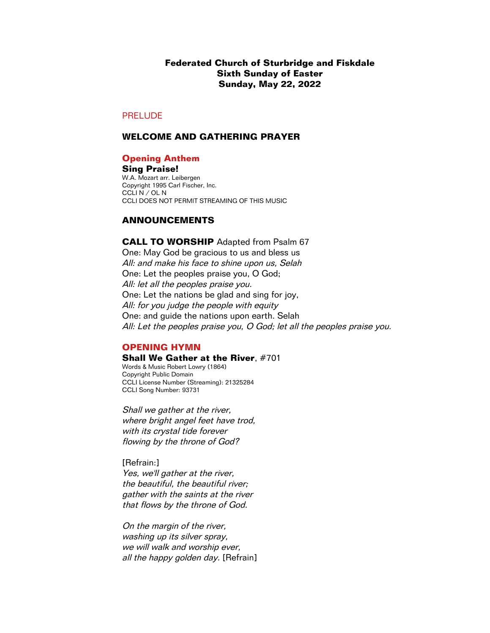# **Federated Church of Sturbridge and Fiskdale Sixth Sunday of Easter Sunday, May 22, 2022**

# PRELUDE

# **WELCOME AND GATHERING PRAYER**

### **Opening Anthem**

**Sing Praise!** W.A. Mozart arr. Leibergen Copyright 1995 Carl Fischer, Inc. CCLI N / OL N CCLI DOES NOT PERMIT STREAMING OF THIS MUSIC

# **ANNOUNCEMENTS**

**CALL TO WORSHIP** Adapted from Psalm 67 One: May God be gracious to us and bless us All: and make his face to shine upon us, Selah One: Let the peoples praise you, O God; All: let all the peoples praise you. One: Let the nations be glad and sing for joy, All: for you judge the people with equity One: and guide the nations upon earth. Selah All: Let the peoples praise you, O God; let all the peoples praise you.

# **OPENING HYMN**

**Shall We Gather at the River, #701** Words & Music Robert Lowry (1864) Copyright Public Domain CCLI License Number (Streaming): 21325284 CCLI Song Number: 93731

Shall we gather at the river, where bright angel feet have trod, with its crystal tide forever flowing by the throne of God?

[Refrain:] Yes, we'll gather at the river, the beautiful, the beautiful river; gather with the saints at the river that flows by the throne of God.

On the margin of the river, washing up its silver spray, we will walk and worship ever, all the happy golden day. [Refrain]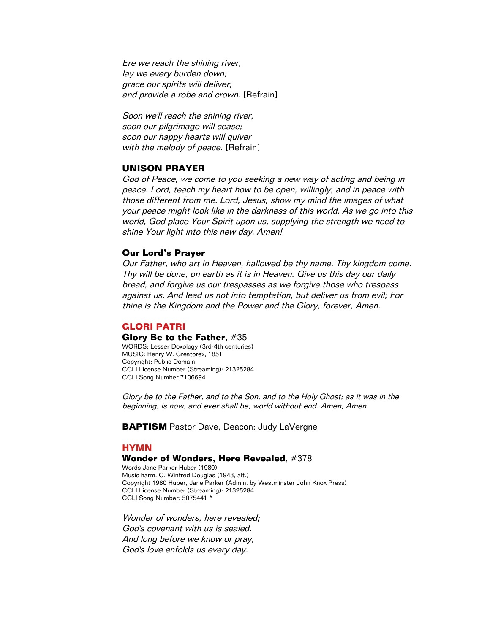Ere we reach the shining river, lay we every burden down; grace our spirits will deliver, and provide a robe and crown. [Refrain]

Soon we'll reach the shining river, soon our pilgrimage will cease; soon our happy hearts will quiver with the melody of peace. [Refrain]

# **UNISON PRAYER**

God of Peace, we come to you seeking a new way of acting and being in peace. Lord, teach my heart how to be open, willingly, and in peace with those different from me. Lord, Jesus, show my mind the images of what your peace might look like in the darkness of this world. As we go into this world, God place Your Spirit upon us, supplying the strength we need to shine Your light into this new day. Amen!

### **Our Lord's Prayer**

Our Father, who art in Heaven, hallowed be thy name. Thy kingdom come. Thy will be done, on earth as it is in Heaven. Give us this day our daily bread, and forgive us our trespasses as we forgive those who trespass against us. And lead us not into temptation, but deliver us from evil; For thine is the Kingdom and the Power and the Glory, forever, Amen.

# **GLORI PATRI**

#### **Glory Be to the Father**, #35

WORDS: Lesser Doxology (3rd-4th centuries) MUSIC: Henry W. Greatorex, 1851 Copyright: Public Domain CCLI License Number (Streaming): 21325284 CCLI Song Number 7106694

Glory be to the Father, and to the Son, and to the Holy Ghost; as it was in the beginning, is now, and ever shall be, world without end. Amen, Amen.

**BAPTISM** Pastor Dave, Deacon: Judy LaVergne

# **HYMN**

#### **Wonder of Wonders, Here Revealed**, #378

Words Jane Parker Huber (1980) Music harm. C. Winfred Douglas (1943, alt.) Copyright 1980 Huber, Jane Parker (Admin. by Westminster John Knox Press) CCLI License Number (Streaming): 21325284 CCLI Song Number: 5075441 \*

Wonder of wonders, here revealed; God's covenant with us is sealed. And long before we know or pray, God's love enfolds us every day.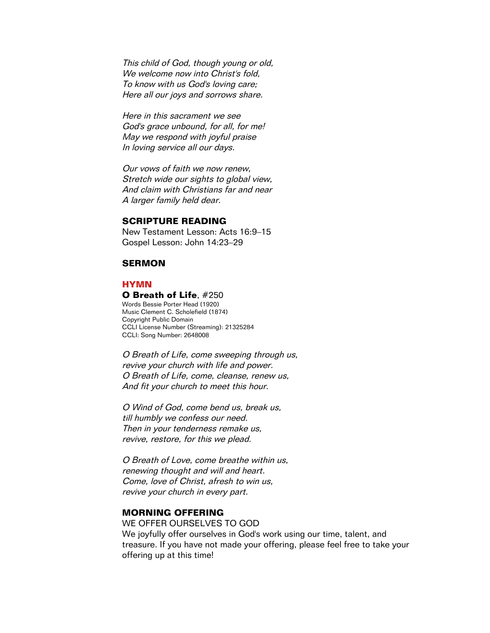This child of God, though young or old, We welcome now into Christ's fold, To know with us God's loving care; Here all our joys and sorrows share.

Here in this sacrament we see God's grace unbound, for all, for me! May we respond with joyful praise In loving service all our days.

Our vows of faith we now renew, Stretch wide our sights to global view, And claim with Christians far and near A larger family held dear.

# **SCRIPTURE READING**

New Testament Lesson: Acts 16:9–15 Gospel Lesson: John 14:23–29

# **SERMON**

#### **HYMN**

#### **O Breath of Life**, #250

Words Bessie Porter Head (1920) Music Clement C. Scholefield (1874) Copyright Public Domain CCLI License Number (Streaming): 21325284 CCLI: Song Number: 2648008

O Breath of Life, come sweeping through us, revive your church with life and power. O Breath of Life, come, cleanse, renew us, And fit your church to meet this hour.

O Wind of God, come bend us, break us, till humbly we confess our need. Then in your tenderness remake us, revive, restore, for this we plead.

O Breath of Love, come breathe within us, renewing thought and will and heart. Come, love of Christ, afresh to win us, revive your church in every part.

# **MORNING OFFERING**

WE OFFER OURSELVES TO GOD We joyfully offer ourselves in God's work using our time, talent, and treasure. If you have not made your offering, please feel free to take your offering up at this time!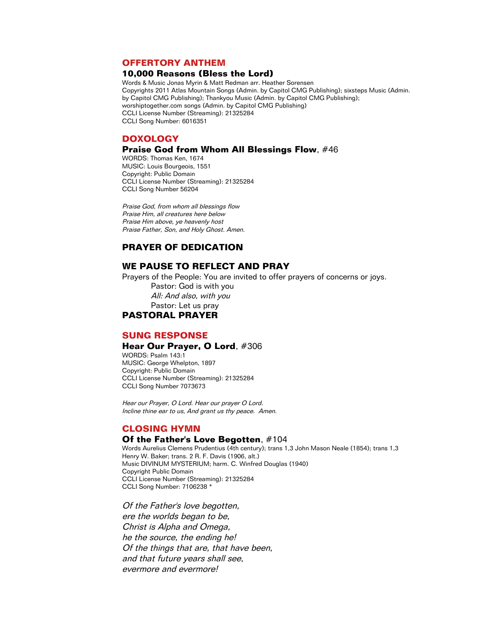# **OFFERTORY ANTHEM**

#### **10,000 Reasons (Bless the Lord)**

Words & Music Jonas Myrin & Matt Redman arr. Heather Sorensen Copyrights 2011 Atlas Mountain Songs (Admin. by Capitol CMG Publishing); sixsteps Music (Admin. by Capitol CMG Publishing); Thankyou Music (Admin. by Capitol CMG Publishing); worshiptogether.com songs (Admin. by Capitol CMG Publishing) CCLI License Number (Streaming): 21325284 CCLI Song Number: 6016351

#### **DOXOLOGY**

# **Praise God from Whom All Blessings Flow**, #46

WORDS: Thomas Ken, 1674 MUSIC: Louis Bourgeois, 1551 Copyright: Public Domain CCLI License Number (Streaming): 21325284 CCLI Song Number 56204

Praise God, from whom all blessings flow Praise Him, all creatures here below Praise Him above, ye heavenly host Praise Father, Son, and Holy Ghost. Amen.

# **PRAYER OF DEDICATION**

### **WE PAUSE TO REFLECT AND PRAY**

Prayers of the People: You are invited to offer prayers of concerns or joys.

Pastor: God is with you All: And also, with you Pastor: Let us pray **PASTORAL PRAYER**

# **SUNG RESPONSE**

#### **Hear Our Prayer, O Lord**, #306

WORDS: Psalm 143:1 MUSIC: George Whelpton, 1897 Copyright: Public Domain CCLI License Number (Streaming): 21325284 CCLI Song Number 7073673

Hear our Prayer, O Lord. Hear our prayer O Lord. Incline thine ear to us, And grant us thy peace. Amen.

### **CLOSING HYMN**

#### **Of the Father's Love Begotten**, #104

Words Aurelius Clemens Prudentius (4th century); trans 1,3 John Mason Neale (1854); trans 1,3 Henry W. Baker; trans. 2 R. F. Davis (1906, alt.) Music DIVINUM MYSTERIUM; harm. C. Winfred Douglas (1940) Copyright Public Domain CCLI License Number (Streaming): 21325284 CCLI Song Number: 7106238 \*

Of the Father's love begotten, ere the worlds began to be, Christ is Alpha and Omega, he the source, the ending he! Of the things that are, that have been, and that future years shall see, evermore and evermore!